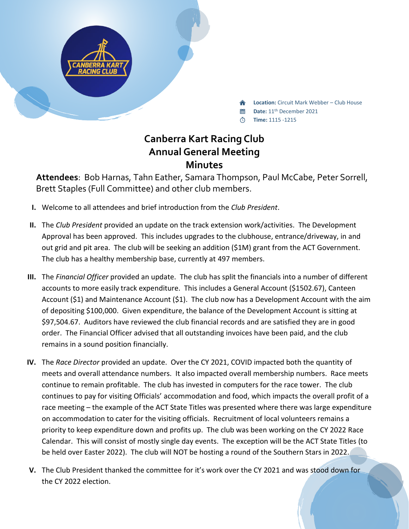

**Location:** Circuit Mark Webber – Club House

- **Date:** 11th December 2021
- **Time:** 1115 -1215

## **Canberra Kart Racing Club Annual General Meeting Minutes**

**Attendees**: Bob Harnas, Tahn Eather, Samara Thompson, Paul McCabe, Peter Sorrell, Brett Staples (Full Committee) and other club members.

- **I.** Welcome to all attendees and brief introduction from the *Club President*.
- **II.** The *Club President* provided an update on the track extension work/activities. The Development Approval has been approved. This includes upgrades to the clubhouse, entrance/driveway, in and out grid and pit area. The club will be seeking an addition (\$1M) grant from the ACT Government. The club has a healthy membership base, currently at 497 members.
- **III.** The *Financial Officer* provided an update. The club has split the financials into a number of different accounts to more easily track expenditure. This includes a General Account (\$1502.67), Canteen Account (\$1) and Maintenance Account (\$1). The club now has a Development Account with the aim of depositing \$100,000. Given expenditure, the balance of the Development Account is sitting at \$97,504.67. Auditors have reviewed the club financial records and are satisfied they are in good order. The Financial Officer advised that all outstanding invoices have been paid, and the club remains in a sound position financially.
- **IV.** The *Race Director* provided an update. Over the CY 2021, COVID impacted both the quantity of meets and overall attendance numbers. It also impacted overall membership numbers. Race meets continue to remain profitable. The club has invested in computers for the race tower. The club continues to pay for visiting Officials' accommodation and food, which impacts the overall profit of a race meeting – the example of the ACT State Titles was presented where there was large expenditure on accommodation to cater for the visiting officials. Recruitment of local volunteers remains a priority to keep expenditure down and profits up. The club was been working on the CY 2022 Race Calendar. This will consist of mostly single day events. The exception will be the ACT State Titles (to be held over Easter 2022). The club will NOT be hosting a round of the Southern Stars in 2022.
- **V.** The Club President thanked the committee for it's work over the CY 2021 and was stood down for the CY 2022 election.